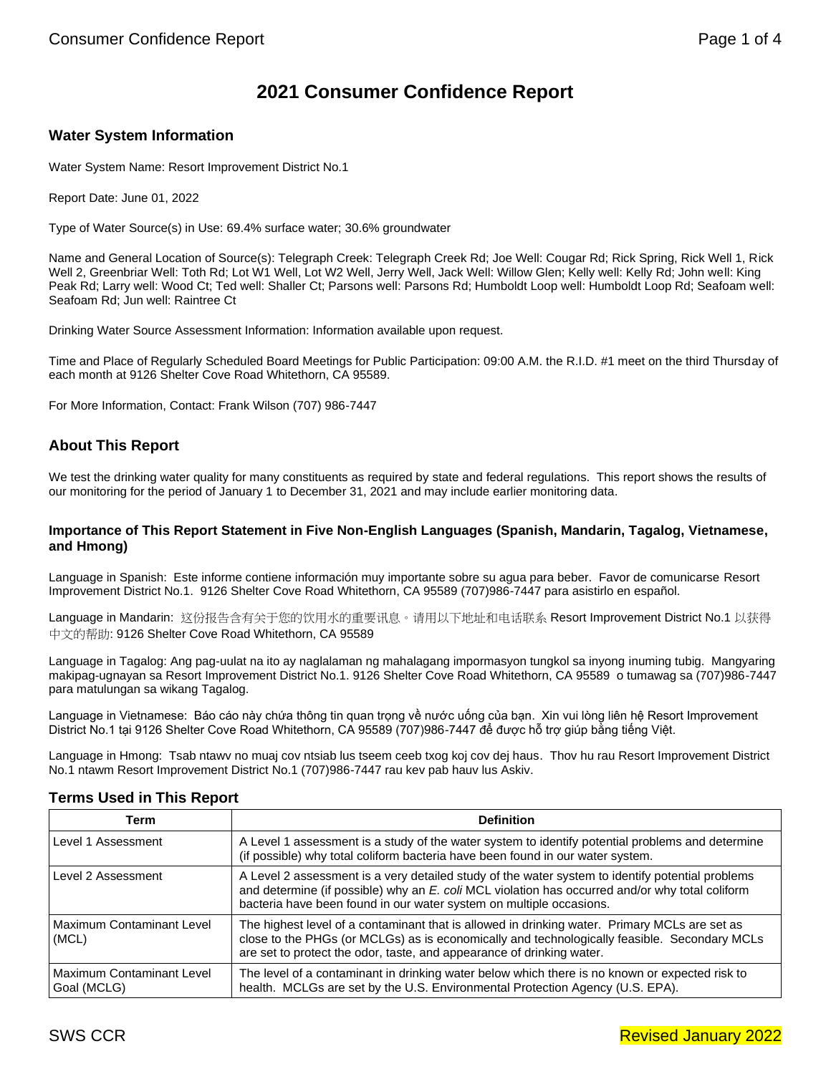# **2021 Consumer Confidence Report**

### **Water System Information**

Water System Name: Resort Improvement District No.1

Report Date: June 01, 2022

Type of Water Source(s) in Use: 69.4% surface water; 30.6% groundwater

Name and General Location of Source(s): Telegraph Creek: Telegraph Creek Rd; Joe Well: Cougar Rd; Rick Spring, Rick Well 1, Rick Well 2, Greenbriar Well: Toth Rd; Lot W1 Well, Lot W2 Well, Jerry Well, Jack Well: Willow Glen; Kelly well: Kelly Rd; John well: King Peak Rd; Larry well: Wood Ct; Ted well: Shaller Ct; Parsons well: Parsons Rd; Humboldt Loop well: Humboldt Loop Rd; Seafoam well: Seafoam Rd; Jun well: Raintree Ct

Drinking Water Source Assessment Information: Information available upon request.

Time and Place of Regularly Scheduled Board Meetings for Public Participation: 09:00 A.M. the R.I.D. #1 meet on the third Thursday of each month at 9126 Shelter Cove Road Whitethorn, CA 95589.

For More Information, Contact: Frank Wilson (707) 986-7447

### **About This Report**

We test the drinking water quality for many constituents as required by state and federal regulations. This report shows the results of our monitoring for the period of January 1 to December 31, 2021 and may include earlier monitoring data.

#### **Importance of This Report Statement in Five Non-English Languages (Spanish, Mandarin, Tagalog, Vietnamese, and Hmong)**

Language in Spanish: Este informe contiene información muy importante sobre su agua para beber. Favor de comunicarse Resort Improvement District No.1. 9126 Shelter Cove Road Whitethorn, CA 95589 (707)986-7447 para asistirlo en español.

Language in Mandarin: 这份报告含有关于您的饮用水的重要讯息。请用以下地址和电话联系 Resort Improvement District No.1 以获得 中文的帮助: 9126 Shelter Cove Road Whitethorn, CA 95589

Language in Tagalog: Ang pag-uulat na ito ay naglalaman ng mahalagang impormasyon tungkol sa inyong inuming tubig. Mangyaring makipag-ugnayan sa Resort Improvement District No.1. 9126 Shelter Cove Road Whitethorn, CA 95589 o tumawag sa (707)986-7447 para matulungan sa wikang Tagalog.

Language in Vietnamese: Báo cáo này chứa thông tin quan trọng về nước uống của bạn. Xin vui lòng liên hệ Resort Improvement District No.1 tại 9126 Shelter Cove Road Whitethorn, CA 95589 (707)986-7447 để được hỗ trợ giúp bằng tiếng Việt.

Language in Hmong: Tsab ntawv no muaj cov ntsiab lus tseem ceeb txog koj cov dej haus. Thov hu rau Resort Improvement District No.1 ntawm Resort Improvement District No.1 (707)986-7447 rau kev pab hauv lus Askiv.

| Term                                     | <b>Definition</b>                                                                                                                                                                                                                                                          |
|------------------------------------------|----------------------------------------------------------------------------------------------------------------------------------------------------------------------------------------------------------------------------------------------------------------------------|
| Level 1 Assessment                       | A Level 1 assessment is a study of the water system to identify potential problems and determine<br>(if possible) why total coliform bacteria have been found in our water system.                                                                                         |
| Level 2 Assessment                       | A Level 2 assessment is a very detailed study of the water system to identify potential problems<br>and determine (if possible) why an E. coli MCL violation has occurred and/or why total coliform<br>bacteria have been found in our water system on multiple occasions. |
| Maximum Contaminant Level<br>(MCL)       | The highest level of a contaminant that is allowed in drinking water. Primary MCLs are set as<br>close to the PHGs (or MCLGs) as is economically and technologically feasible. Secondary MCLs<br>are set to protect the odor, taste, and appearance of drinking water.     |
| Maximum Contaminant Level<br>Goal (MCLG) | The level of a contaminant in drinking water below which there is no known or expected risk to<br>health. MCLGs are set by the U.S. Environmental Protection Agency (U.S. EPA).                                                                                            |

### **Terms Used in This Report**

## SWS CCR **Revised January 2022**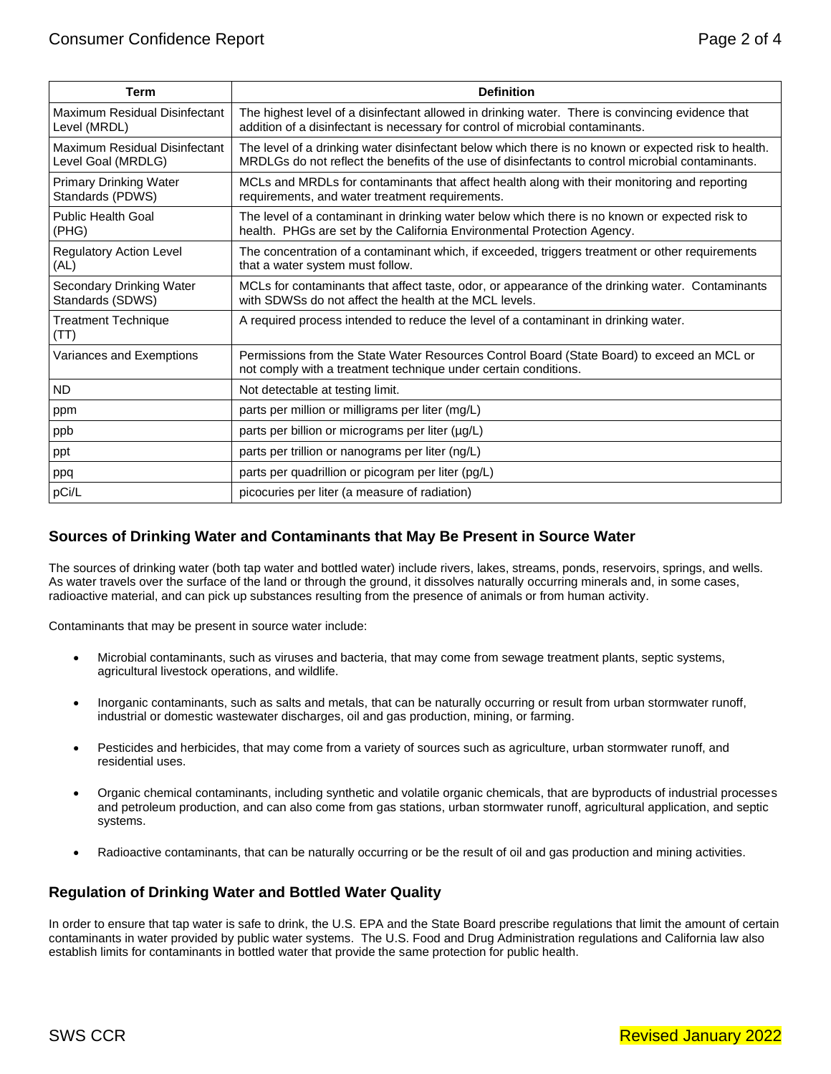| Term                                                | <b>Definition</b>                                                                                                                                                                                         |
|-----------------------------------------------------|-----------------------------------------------------------------------------------------------------------------------------------------------------------------------------------------------------------|
| Maximum Residual Disinfectant<br>Level (MRDL)       | The highest level of a disinfectant allowed in drinking water. There is convincing evidence that<br>addition of a disinfectant is necessary for control of microbial contaminants.                        |
| Maximum Residual Disinfectant<br>Level Goal (MRDLG) | The level of a drinking water disinfectant below which there is no known or expected risk to health.<br>MRDLGs do not reflect the benefits of the use of disinfectants to control microbial contaminants. |
| <b>Primary Drinking Water</b><br>Standards (PDWS)   | MCLs and MRDLs for contaminants that affect health along with their monitoring and reporting<br>requirements, and water treatment requirements.                                                           |
| <b>Public Health Goal</b><br>(PHG)                  | The level of a contaminant in drinking water below which there is no known or expected risk to<br>health. PHGs are set by the California Environmental Protection Agency.                                 |
| <b>Regulatory Action Level</b><br>(AL)              | The concentration of a contaminant which, if exceeded, triggers treatment or other requirements<br>that a water system must follow.                                                                       |
| Secondary Drinking Water<br>Standards (SDWS)        | MCLs for contaminants that affect taste, odor, or appearance of the drinking water. Contaminants<br>with SDWSs do not affect the health at the MCL levels.                                                |
| <b>Treatment Technique</b><br>(TT)                  | A required process intended to reduce the level of a contaminant in drinking water.                                                                                                                       |
| Variances and Exemptions                            | Permissions from the State Water Resources Control Board (State Board) to exceed an MCL or<br>not comply with a treatment technique under certain conditions.                                             |
| <b>ND</b>                                           | Not detectable at testing limit.                                                                                                                                                                          |
| ppm                                                 | parts per million or milligrams per liter (mg/L)                                                                                                                                                          |
| ppb                                                 | parts per billion or micrograms per liter (µg/L)                                                                                                                                                          |
| ppt                                                 | parts per trillion or nanograms per liter (ng/L)                                                                                                                                                          |
| ppq                                                 | parts per quadrillion or picogram per liter (pg/L)                                                                                                                                                        |
| pCi/L                                               | picocuries per liter (a measure of radiation)                                                                                                                                                             |

### **Sources of Drinking Water and Contaminants that May Be Present in Source Water**

The sources of drinking water (both tap water and bottled water) include rivers, lakes, streams, ponds, reservoirs, springs, and wells. As water travels over the surface of the land or through the ground, it dissolves naturally occurring minerals and, in some cases, radioactive material, and can pick up substances resulting from the presence of animals or from human activity.

Contaminants that may be present in source water include:

- Microbial contaminants, such as viruses and bacteria, that may come from sewage treatment plants, septic systems, agricultural livestock operations, and wildlife.
- Inorganic contaminants, such as salts and metals, that can be naturally occurring or result from urban stormwater runoff, industrial or domestic wastewater discharges, oil and gas production, mining, or farming.
- Pesticides and herbicides, that may come from a variety of sources such as agriculture, urban stormwater runoff, and residential uses.
- Organic chemical contaminants, including synthetic and volatile organic chemicals, that are byproducts of industrial processes and petroleum production, and can also come from gas stations, urban stormwater runoff, agricultural application, and septic systems.
- Radioactive contaminants, that can be naturally occurring or be the result of oil and gas production and mining activities.

### **Regulation of Drinking Water and Bottled Water Quality**

In order to ensure that tap water is safe to drink, the U.S. EPA and the State Board prescribe regulations that limit the amount of certain contaminants in water provided by public water systems. The U.S. Food and Drug Administration regulations and California law also establish limits for contaminants in bottled water that provide the same protection for public health.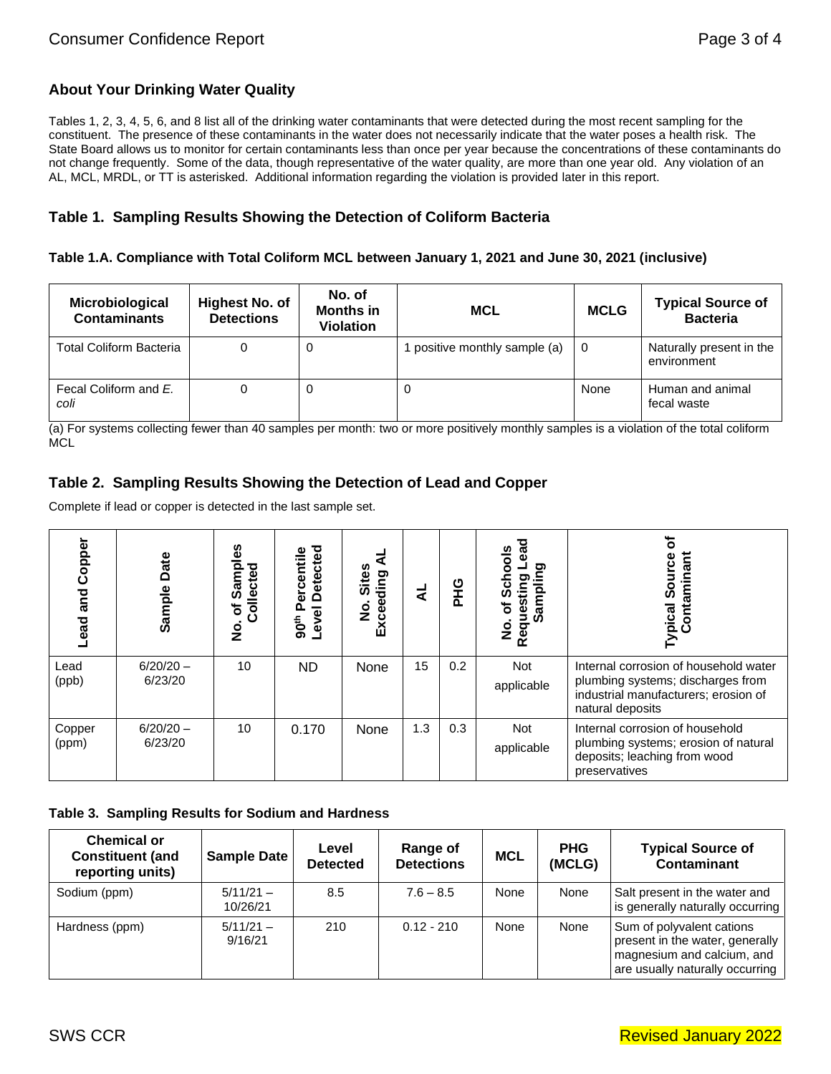## **About Your Drinking Water Quality**

Tables 1, 2, 3, 4, 5, 6, and 8 list all of the drinking water contaminants that were detected during the most recent sampling for the constituent. The presence of these contaminants in the water does not necessarily indicate that the water poses a health risk. The State Board allows us to monitor for certain contaminants less than once per year because the concentrations of these contaminants do not change frequently. Some of the data, though representative of the water quality, are more than one year old. Any violation of an AL, MCL, MRDL, or TT is asterisked. Additional information regarding the violation is provided later in this report.

### **Table 1. Sampling Results Showing the Detection of Coliform Bacteria**

### **Table 1.A. Compliance with Total Coliform MCL between January 1, 2021 and June 30, 2021 (inclusive)**

| Microbiological<br><b>Contaminants</b> | <b>Highest No. of</b><br><b>Detections</b> | No. of<br><b>Months in</b><br><b>Violation</b> | <b>MCL</b>                  | <b>MCLG</b> | <b>Typical Source of</b><br><b>Bacteria</b> |
|----------------------------------------|--------------------------------------------|------------------------------------------------|-----------------------------|-------------|---------------------------------------------|
| <b>Total Coliform Bacteria</b>         |                                            | U                                              | positive monthly sample (a) | 0           | Naturally present in the<br>environment     |
| Fecal Coliform and E.<br>coli          | 0                                          | U                                              | 0                           | None        | Human and animal<br>fecal waste             |

(a) For systems collecting fewer than 40 samples per month: two or more positively monthly samples is a violation of the total coliform MCL

### **Table 2. Sampling Results Showing the Detection of Lead and Copper**

Complete if lead or copper is detected in the last sample set.

| Copper<br>and<br>ead | Date<br>Sample         | ဖ္မ<br>$\bullet$<br>ъ<br>Collecte<br>Sam<br>đ<br><u>9</u> | <b>Detected</b><br>ercentile<br>Level<br>90 <sup>th</sup> | <b>Sites</b><br>ding<br>မီ<br>o<br>Z<br>й<br>Ш | ⋖   | <b>UHQ</b> | <u>olo</u><br>ᢎ<br>ත<br>O)<br>Ξ<br>amp<br>ō<br><b>Reques</b><br>ωĭ<br>o<br>Z | <b>Typical Source</b><br>Contaminant<br>Source                                                                                         |
|----------------------|------------------------|-----------------------------------------------------------|-----------------------------------------------------------|------------------------------------------------|-----|------------|------------------------------------------------------------------------------|----------------------------------------------------------------------------------------------------------------------------------------|
| Lead<br>(ppb)        | $6/20/20 -$<br>6/23/20 | 10                                                        | <b>ND</b>                                                 | None                                           | 15  | 0.2        | <b>Not</b><br>applicable                                                     | Internal corrosion of household water<br>plumbing systems; discharges from<br>industrial manufacturers; erosion of<br>natural deposits |
| Copper<br>(ppm)      | $6/20/20 -$<br>6/23/20 | 10                                                        | 0.170                                                     | None                                           | 1.3 | 0.3        | <b>Not</b><br>applicable                                                     | Internal corrosion of household<br>plumbing systems; erosion of natural<br>deposits; leaching from wood<br>preservatives               |

### **Table 3. Sampling Results for Sodium and Hardness**

| <b>Chemical or</b><br><b>Constituent (and</b><br>reporting units) | Sample Date             | Level<br><b>Detected</b> | Range of<br><b>Detections</b> | <b>MCL</b> | <b>PHG</b><br>(MCLG) | <b>Typical Source of</b><br><b>Contaminant</b>                                                                                |
|-------------------------------------------------------------------|-------------------------|--------------------------|-------------------------------|------------|----------------------|-------------------------------------------------------------------------------------------------------------------------------|
| Sodium (ppm)                                                      | $5/11/21 -$<br>10/26/21 | 8.5                      | $7.6 - 8.5$                   | None       | None                 | Salt present in the water and<br>is generally naturally occurring                                                             |
| Hardness (ppm)                                                    | $5/11/21 -$<br>9/16/21  | 210                      | $0.12 - 210$                  | None       | None                 | Sum of polyvalent cations<br>present in the water, generally<br>magnesium and calcium, and<br>are usually naturally occurring |